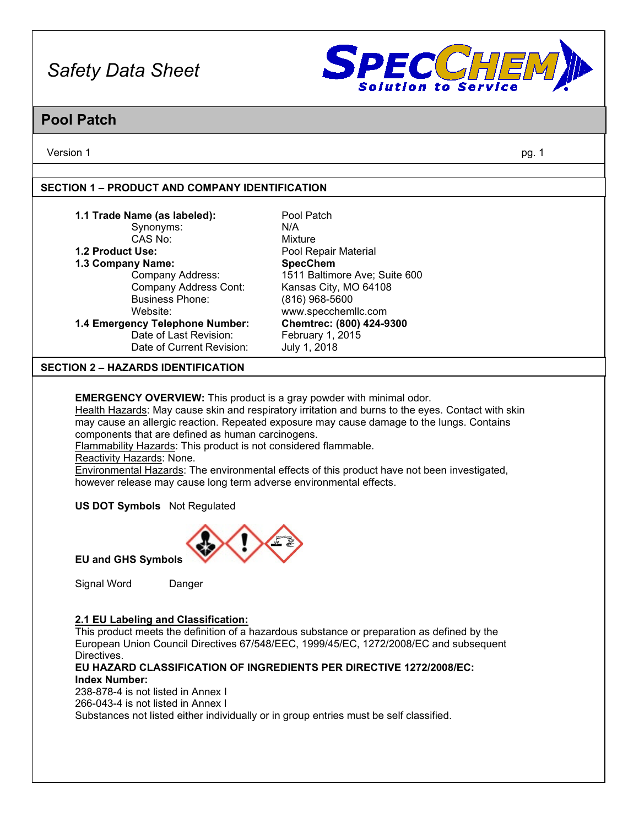

## **Pool Patch**

Version 1 pg. 1

#### **SECTION 1 – PRODUCT AND COMPANY IDENTIFICATION**

| 1.1 Trade Name (as labeled):              | Pool Patch                    |
|-------------------------------------------|-------------------------------|
| Synonyms:                                 | N/A                           |
| CAS No:                                   | Mixture                       |
| 1.2 Product Use:                          | Pool Repair Material          |
| 1.3 Company Name:                         | <b>SpecChem</b>               |
| Company Address:                          | 1511 Baltimore Ave; Suite 600 |
| <b>Company Address Cont:</b>              | Kansas City, MO 64108         |
| <b>Business Phone:</b>                    | (816) 968-5600                |
| Website:                                  | www.specchemllc.com           |
| 1.4 Emergency Telephone Number:           | Chemtrec: (800) 424-9300      |
| Date of Last Revision:                    | February 1, 2015              |
| Date of Current Revision:                 | July 1, 2018                  |
| <b>SECTION 2 – HAZARDS IDENTIFICATION</b> |                               |
|                                           |                               |

**EMERGENCY OVERVIEW:** This product is a gray powder with minimal odor.

Health Hazards: May cause skin and respiratory irritation and burns to the eyes. Contact with skin may cause an allergic reaction. Repeated exposure may cause damage to the lungs. Contains components that are defined as human carcinogens.

Flammability Hazards: This product is not considered flammable.

Reactivity Hazards: None.

Environmental Hazards: The environmental effects of this product have not been investigated, however release may cause long term adverse environmental effects.

**US DOT Symbols** Not Regulated



**EU and GHS Symbols**

Signal Word Danger

#### **2.1 EU Labeling and Classification:**

This product meets the definition of a hazardous substance or preparation as defined by the European Union Council Directives 67/548/EEC, 1999/45/EC, 1272/2008/EC and subsequent Directives.

#### **EU HAZARD CLASSIFICATION OF INGREDIENTS PER DIRECTIVE 1272/2008/EC: Index Number:**

238-878-4 is not listed in Annex I 266-043-4 is not listed in Annex I Substances not listed either individually or in group entries must be self classified.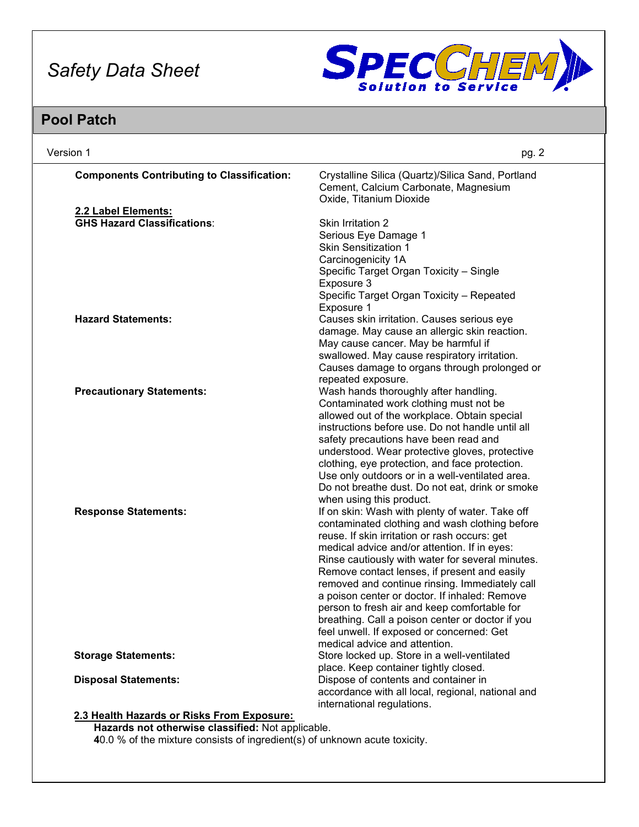

## **Pool Patch**

| Version 1                                                                                      | pg. 2                                                                                                                |
|------------------------------------------------------------------------------------------------|----------------------------------------------------------------------------------------------------------------------|
| <b>Components Contributing to Classification:</b>                                              | Crystalline Silica (Quartz)/Silica Sand, Portland<br>Cement, Calcium Carbonate, Magnesium<br>Oxide, Titanium Dioxide |
| 2.2 Label Elements:                                                                            |                                                                                                                      |
| <b>GHS Hazard Classifications:</b>                                                             | <b>Skin Irritation 2</b>                                                                                             |
|                                                                                                | Serious Eye Damage 1                                                                                                 |
|                                                                                                | <b>Skin Sensitization 1</b>                                                                                          |
|                                                                                                | Carcinogenicity 1A                                                                                                   |
|                                                                                                | Specific Target Organ Toxicity - Single                                                                              |
|                                                                                                | Exposure 3                                                                                                           |
|                                                                                                | Specific Target Organ Toxicity - Repeated                                                                            |
|                                                                                                | Exposure 1                                                                                                           |
| <b>Hazard Statements:</b>                                                                      | Causes skin irritation. Causes serious eye                                                                           |
|                                                                                                | damage. May cause an allergic skin reaction.                                                                         |
|                                                                                                | May cause cancer. May be harmful if                                                                                  |
|                                                                                                | swallowed. May cause respiratory irritation.                                                                         |
|                                                                                                | Causes damage to organs through prolonged or                                                                         |
|                                                                                                | repeated exposure.                                                                                                   |
| <b>Precautionary Statements:</b>                                                               | Wash hands thoroughly after handling.                                                                                |
|                                                                                                | Contaminated work clothing must not be                                                                               |
|                                                                                                | allowed out of the workplace. Obtain special                                                                         |
|                                                                                                | instructions before use. Do not handle until all                                                                     |
|                                                                                                | safety precautions have been read and                                                                                |
|                                                                                                | understood. Wear protective gloves, protective                                                                       |
|                                                                                                | clothing, eye protection, and face protection.                                                                       |
|                                                                                                | Use only outdoors or in a well-ventilated area.                                                                      |
|                                                                                                | Do not breathe dust. Do not eat, drink or smoke                                                                      |
|                                                                                                | when using this product.                                                                                             |
| <b>Response Statements:</b>                                                                    | If on skin: Wash with plenty of water. Take off                                                                      |
|                                                                                                | contaminated clothing and wash clothing before                                                                       |
|                                                                                                | reuse. If skin irritation or rash occurs: get                                                                        |
|                                                                                                | medical advice and/or attention. If in eyes:                                                                         |
|                                                                                                | Rinse cautiously with water for several minutes.                                                                     |
|                                                                                                | Remove contact lenses, if present and easily                                                                         |
|                                                                                                | removed and continue rinsing. Immediately call                                                                       |
|                                                                                                | a poison center or doctor. If inhaled: Remove                                                                        |
|                                                                                                | person to fresh air and keep comfortable for                                                                         |
|                                                                                                | breathing. Call a poison center or doctor if you                                                                     |
|                                                                                                | feel unwell. If exposed or concerned: Get                                                                            |
|                                                                                                | medical advice and attention.                                                                                        |
| <b>Storage Statements:</b>                                                                     | Store locked up. Store in a well-ventilated                                                                          |
|                                                                                                | place. Keep container tightly closed.                                                                                |
| <b>Disposal Statements:</b>                                                                    | Dispose of contents and container in                                                                                 |
|                                                                                                | accordance with all local, regional, national and                                                                    |
| 2.3 Health Hazards or Risks From Exposure:<br>Hazards not otherwise eleccified: Net explicable | international regulations.                                                                                           |

**Hazards not otherwise classified:** Not applicable.

**4**0.0 % of the mixture consists of ingredient(s) of unknown acute toxicity.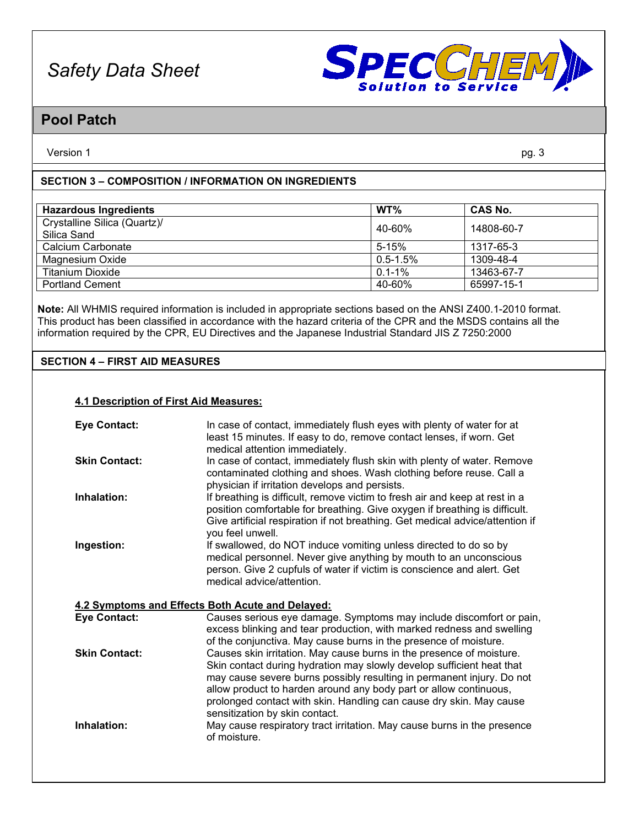

## **Pool Patch**

Version 1 pg. 3

#### **SECTION 3 – COMPOSITION / INFORMATION ON INGREDIENTS**

| <b>Hazardous Ingredients</b>                | WT%           | <b>CAS No.</b> |
|---------------------------------------------|---------------|----------------|
| Crystalline Silica (Quartz)/<br>Silica Sand | 40-60%        | 14808-60-7     |
| Calcium Carbonate                           | $5 - 15%$     | 1317-65-3      |
| Magnesium Oxide                             | $0.5 - 1.5\%$ | 1309-48-4      |
| <b>Titanium Dioxide</b>                     | $0.1 - 1\%$   | 13463-67-7     |
| <b>Portland Cement</b>                      | 40-60%        | 65997-15-1     |

**Note:** All WHMIS required information is included in appropriate sections based on the ANSI Z400.1-2010 format. This product has been classified in accordance with the hazard criteria of the CPR and the MSDS contains all the information required by the CPR, EU Directives and the Japanese Industrial Standard JIS Z 7250:2000

#### **SECTION 4 – FIRST AID MEASURES**

#### **4.1 Description of First Aid Measures:**

| <b>Eye Contact:</b>  | In case of contact, immediately flush eyes with plenty of water for at<br>least 15 minutes. If easy to do, remove contact lenses, if worn. Get<br>medical attention immediately.                                                                                                                                                                                                                     |
|----------------------|------------------------------------------------------------------------------------------------------------------------------------------------------------------------------------------------------------------------------------------------------------------------------------------------------------------------------------------------------------------------------------------------------|
| <b>Skin Contact:</b> | In case of contact, immediately flush skin with plenty of water. Remove<br>contaminated clothing and shoes. Wash clothing before reuse. Call a<br>physician if irritation develops and persists.                                                                                                                                                                                                     |
| Inhalation:          | If breathing is difficult, remove victim to fresh air and keep at rest in a<br>position comfortable for breathing. Give oxygen if breathing is difficult.<br>Give artificial respiration if not breathing. Get medical advice/attention if<br>you feel unwell.                                                                                                                                       |
| Ingestion:           | If swallowed, do NOT induce vomiting unless directed to do so by<br>medical personnel. Never give anything by mouth to an unconscious<br>person. Give 2 cupfuls of water if victim is conscience and alert. Get<br>medical advice/attention.                                                                                                                                                         |
|                      | 4.2 Symptoms and Effects Both Acute and Delayed:                                                                                                                                                                                                                                                                                                                                                     |
| <b>Eye Contact:</b>  | Causes serious eye damage. Symptoms may include discomfort or pain,<br>excess blinking and tear production, with marked redness and swelling<br>of the conjunctiva. May cause burns in the presence of moisture.                                                                                                                                                                                     |
| <b>Skin Contact:</b> | Causes skin irritation. May cause burns in the presence of moisture.<br>Skin contact during hydration may slowly develop sufficient heat that<br>may cause severe burns possibly resulting in permanent injury. Do not<br>allow product to harden around any body part or allow continuous,<br>prolonged contact with skin. Handling can cause dry skin. May cause<br>sensitization by skin contact. |
| Inhalation:          | May cause respiratory tract irritation. May cause burns in the presence<br>of moisture.                                                                                                                                                                                                                                                                                                              |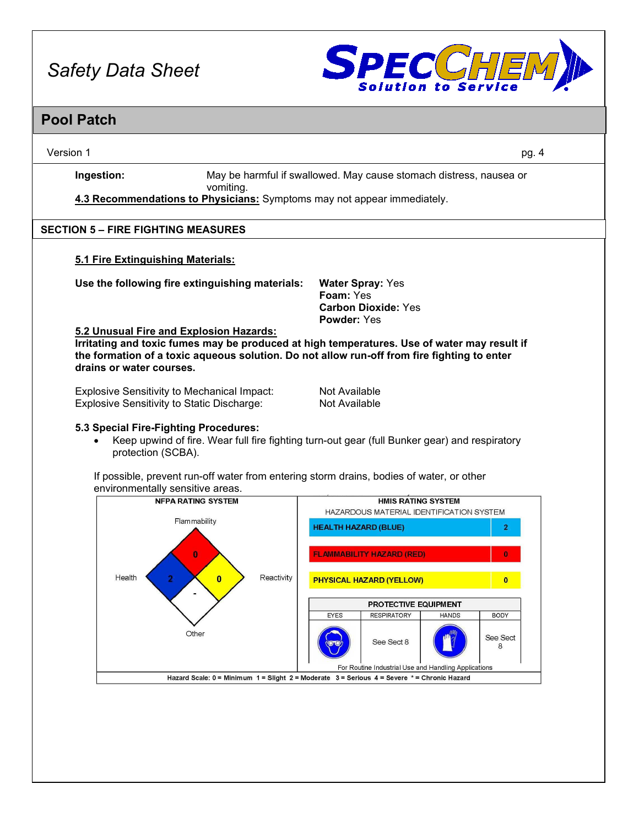

#### **Pool Patch**

Version 1 pg. 4

**Ingestion:** May be harmful if swallowed. May cause stomach distress, nausea or vomiting.

**4.3 Recommendations to Physicians:** Symptoms may not appear immediately.

#### **SECTION 5 – FIRE FIGHTING MEASURES**

#### **5.1 Fire Extinguishing Materials:**

**Use the following fire extinguishing materials: Water Spray:** Yes

**Foam:** Yes **Carbon Dioxide:** Yes **Powder:** Yes

#### **5.2 Unusual Fire and Explosion Hazards:**

**Irritating and toxic fumes may be produced at high temperatures. Use of water may result if the formation of a toxic aqueous solution. Do not allow run-off from fire fighting to enter drains or water courses.**

Explosive Sensitivity to Mechanical Impact: Not Available Explosive Sensitivity to Static Discharge: Not Available

#### **5.3 Special Fire-Fighting Procedures:**

• Keep upwind of fire. Wear full fire fighting turn-out gear (full Bunker gear) and respiratory protection (SCBA).

If possible, prevent run-off water from entering storm drains, bodies of water, or other environmentally sensitive areas.<br>
NEPA RATING SYSTEM

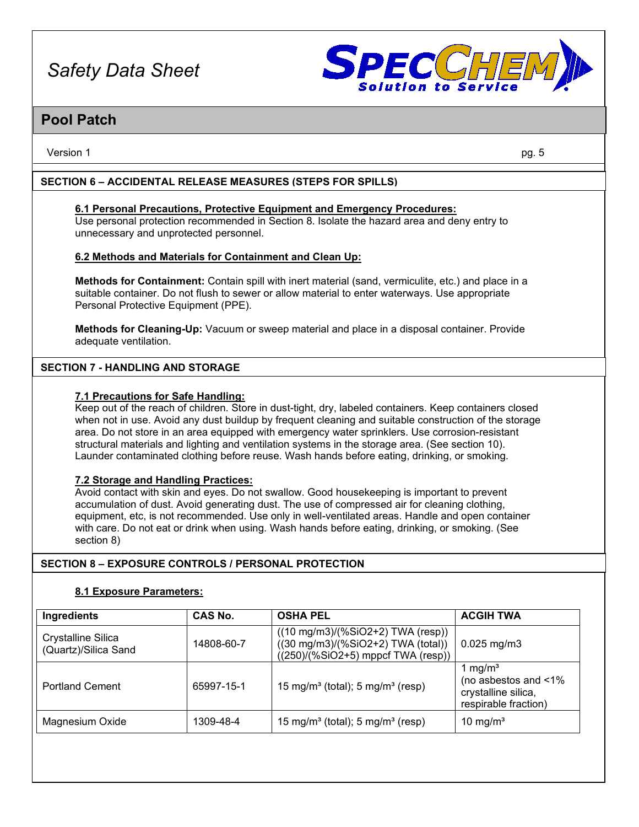

### **Pool Patch**

Version 1 pg. 5

#### **SECTION 6 – ACCIDENTAL RELEASE MEASURES (STEPS FOR SPILLS)**

#### **6.1 Personal Precautions, Protective Equipment and Emergency Procedures:** Use personal protection recommended in Section 8. Isolate the hazard area and deny entry to

unnecessary and unprotected personnel.

#### **6.2 Methods and Materials for Containment and Clean Up:**

**Methods for Containment:** Contain spill with inert material (sand, vermiculite, etc.) and place in a suitable container. Do not flush to sewer or allow material to enter waterways. Use appropriate Personal Protective Equipment (PPE).

**Methods for Cleaning-Up:** Vacuum or sweep material and place in a disposal container. Provide adequate ventilation.

#### **SECTION 7 - HANDLING AND STORAGE**

#### **7.1 Precautions for Safe Handling:**

Keep out of the reach of children. Store in dust-tight, dry, labeled containers. Keep containers closed when not in use. Avoid any dust buildup by frequent cleaning and suitable construction of the storage area. Do not store in an area equipped with emergency water sprinklers. Use corrosion-resistant structural materials and lighting and ventilation systems in the storage area. (See section 10). Launder contaminated clothing before reuse. Wash hands before eating, drinking, or smoking.

#### **7.2 Storage and Handling Practices:**

Avoid contact with skin and eyes. Do not swallow. Good housekeeping is important to prevent accumulation of dust. Avoid generating dust. The use of compressed air for cleaning clothing, equipment, etc, is not recommended. Use only in well-ventilated areas. Handle and open container with care. Do not eat or drink when using. Wash hands before eating, drinking, or smoking. (See section 8)

#### **SECTION 8 – EXPOSURE CONTROLS / PERSONAL PROTECTION**

#### **8.1 Exposure Parameters:**

| Ingredients                                | <b>CAS No.</b> | <b>OSHA PEL</b>                                                                                                             | <b>ACGIH TWA</b>                                                                            |
|--------------------------------------------|----------------|-----------------------------------------------------------------------------------------------------------------------------|---------------------------------------------------------------------------------------------|
| Crystalline Silica<br>(Quartz)/Silica Sand | 14808-60-7     | $((10 \text{ mg/m3})/(%SiO2+2)$ TWA (resp))<br>$((30 mg/m3)/(%SiO2+2) TWA (total))$<br>$((250)/(%SiO2+5)$ mppcf TWA (resp)) | $0.025$ mg/m3                                                                               |
| <b>Portland Cement</b>                     | 65997-15-1     | 15 mg/m <sup>3</sup> (total); 5 mg/m <sup>3</sup> (resp)                                                                    | 1 mg/m <sup>3</sup><br>(no asbestos and <1%)<br>crystalline silica,<br>respirable fraction) |
| Magnesium Oxide                            | 1309-48-4      | 15 mg/m <sup>3</sup> (total); 5 mg/m <sup>3</sup> (resp)                                                                    | 10 mg/m <sup>3</sup>                                                                        |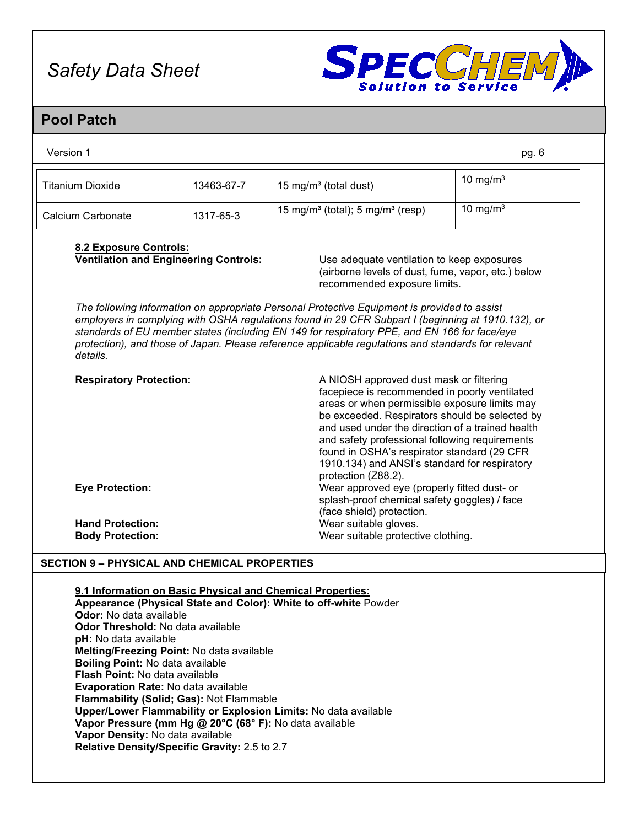

## **Pool Patch**

| Version 1              |            |                                                          | pg. 6       |
|------------------------|------------|----------------------------------------------------------|-------------|
| Titanium Dioxide       | 13463-67-7 | 15 mg/m <sup>3</sup> (total dust)                        | 10 mg/m $3$ |
| Calcium Carbonate      | 1317-65-3  | 15 mg/m <sup>3</sup> (total); 5 mg/m <sup>3</sup> (resp) | 10 mg/m $3$ |
| 8.2 Evnoeuro Controle: |            |                                                          |             |

## **8.2 Exposure Controls:**

Use adequate ventilation to keep exposures (airborne levels of dust, fume, vapor, etc.) below recommended exposure limits.

*The following information on appropriate Personal Protective Equipment is provided to assist employers in complying with OSHA regulations found in 29 CFR Subpart I (beginning at 1910.132), or standards of EU member states (including EN 149 for respiratory PPE, and EN 166 for face/eye protection), and those of Japan. Please reference applicable regulations and standards for relevant details.*

| <b>Respiratory Protection:</b> | A NIOSH approved dust mask or filtering<br>facepiece is recommended in poorly ventilated<br>areas or when permissible exposure limits may<br>be exceeded. Respirators should be selected by<br>and used under the direction of a trained health<br>and safety professional following requirements<br>found in OSHA's respirator standard (29 CFR<br>1910.134) and ANSI's standard for respiratory<br>protection (Z88.2). |
|--------------------------------|--------------------------------------------------------------------------------------------------------------------------------------------------------------------------------------------------------------------------------------------------------------------------------------------------------------------------------------------------------------------------------------------------------------------------|
| <b>Eye Protection:</b>         | Wear approved eye (properly fitted dust- or<br>splash-proof chemical safety goggles) / face<br>(face shield) protection.                                                                                                                                                                                                                                                                                                 |
| <b>Hand Protection:</b>        | Wear suitable gloves.                                                                                                                                                                                                                                                                                                                                                                                                    |
| <b>Body Protection:</b>        | Wear suitable protective clothing.                                                                                                                                                                                                                                                                                                                                                                                       |

#### **SECTION 9 – PHYSICAL AND CHEMICAL PROPERTIES**

#### **9.1 Information on Basic Physical and Chemical Properties:**

**Appearance (Physical State and Color): White to off-white** Powder **Odor:** No data available **Odor Threshold:** No data available **pH:** No data available **Melting/Freezing Point:** No data available **Boiling Point:** No data available **Flash Point:** No data available **Evaporation Rate:** No data available **Flammability (Solid; Gas):** Not Flammable **Upper/Lower Flammability or Explosion Limits:** No data available **Vapor Pressure (mm Hg @ 20°C (68° F):** No data available **Vapor Density:** No data available **Relative Density/Specific Gravity:** 2.5 to 2.7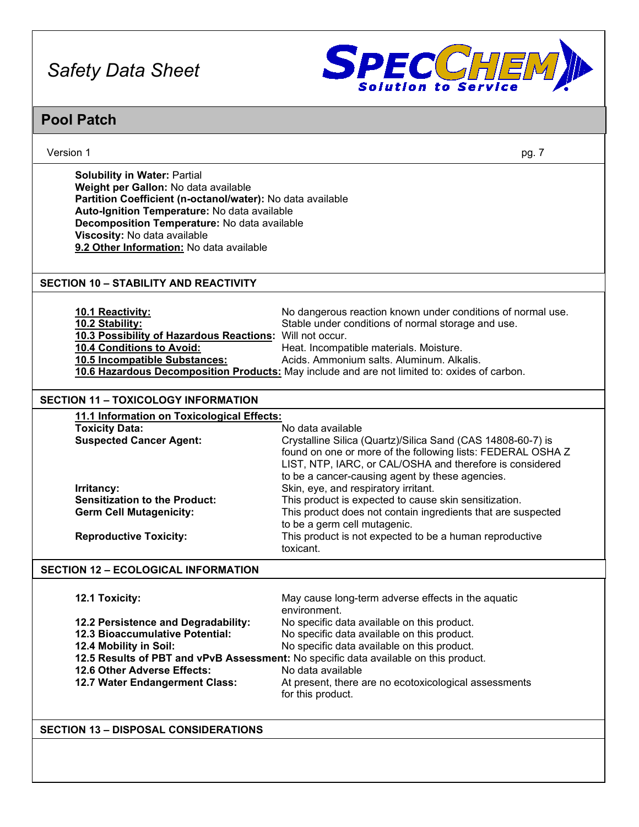

## **Pool Patch**

| Version 1                                                                                                                                                                                                                                                                                                             | pg. 7                                                                                                                                                                                                                                                                                                                                |
|-----------------------------------------------------------------------------------------------------------------------------------------------------------------------------------------------------------------------------------------------------------------------------------------------------------------------|--------------------------------------------------------------------------------------------------------------------------------------------------------------------------------------------------------------------------------------------------------------------------------------------------------------------------------------|
| <b>Solubility in Water: Partial</b><br>Weight per Gallon: No data available<br>Partition Coefficient (n-octanol/water): No data available<br>Auto-Ignition Temperature: No data available<br>Decomposition Temperature: No data available<br>Viscosity: No data available<br>9.2 Other Information: No data available |                                                                                                                                                                                                                                                                                                                                      |
| <b>SECTION 10 - STABILITY AND REACTIVITY</b>                                                                                                                                                                                                                                                                          |                                                                                                                                                                                                                                                                                                                                      |
| 10.1 Reactivity:<br>10.2 Stability:<br>10.3 Possibility of Hazardous Reactions: Will not occur.<br>10.4 Conditions to Avoid:<br>10.5 Incompatible Substances:                                                                                                                                                         | No dangerous reaction known under conditions of normal use.<br>Stable under conditions of normal storage and use.<br>Heat. Incompatible materials. Moisture.<br>Acids. Ammonium salts. Aluminum. Alkalis.<br>10.6 Hazardous Decomposition Products: May include and are not limited to: oxides of carbon.                            |
| <b>SECTION 11 - TOXICOLOGY INFORMATION</b>                                                                                                                                                                                                                                                                            |                                                                                                                                                                                                                                                                                                                                      |
| 11.1 Information on Toxicological Effects:<br><b>Toxicity Data:</b><br><b>Suspected Cancer Agent:</b>                                                                                                                                                                                                                 | No data available<br>Crystalline Silica (Quartz)/Silica Sand (CAS 14808-60-7) is<br>found on one or more of the following lists: FEDERAL OSHA Z<br>LIST, NTP, IARC, or CAL/OSHA and therefore is considered                                                                                                                          |
| Irritancy:<br><b>Sensitization to the Product:</b><br><b>Germ Cell Mutagenicity:</b><br><b>Reproductive Toxicity:</b>                                                                                                                                                                                                 | to be a cancer-causing agent by these agencies.<br>Skin, eye, and respiratory irritant.<br>This product is expected to cause skin sensitization.<br>This product does not contain ingredients that are suspected<br>to be a germ cell mutagenic.<br>This product is not expected to be a human reproductive                          |
|                                                                                                                                                                                                                                                                                                                       | toxicant.                                                                                                                                                                                                                                                                                                                            |
| <b>SECTION 12 - ECOLOGICAL INFORMATION</b>                                                                                                                                                                                                                                                                            |                                                                                                                                                                                                                                                                                                                                      |
| 12.1 Toxicity:                                                                                                                                                                                                                                                                                                        | May cause long-term adverse effects in the aquatic<br>environment.                                                                                                                                                                                                                                                                   |
| 12.2 Persistence and Degradability:<br>12.3 Bioaccumulative Potential:<br>12.4 Mobility in Soil:<br>12.6 Other Adverse Effects:<br>12.7 Water Endangerment Class:                                                                                                                                                     | No specific data available on this product.<br>No specific data available on this product.<br>No specific data available on this product.<br>12.5 Results of PBT and vPvB Assessment: No specific data available on this product.<br>No data available<br>At present, there are no ecotoxicological assessments<br>for this product. |
| <b>SECTION 13 - DISPOSAL CONSIDERATIONS</b>                                                                                                                                                                                                                                                                           |                                                                                                                                                                                                                                                                                                                                      |
|                                                                                                                                                                                                                                                                                                                       |                                                                                                                                                                                                                                                                                                                                      |
|                                                                                                                                                                                                                                                                                                                       |                                                                                                                                                                                                                                                                                                                                      |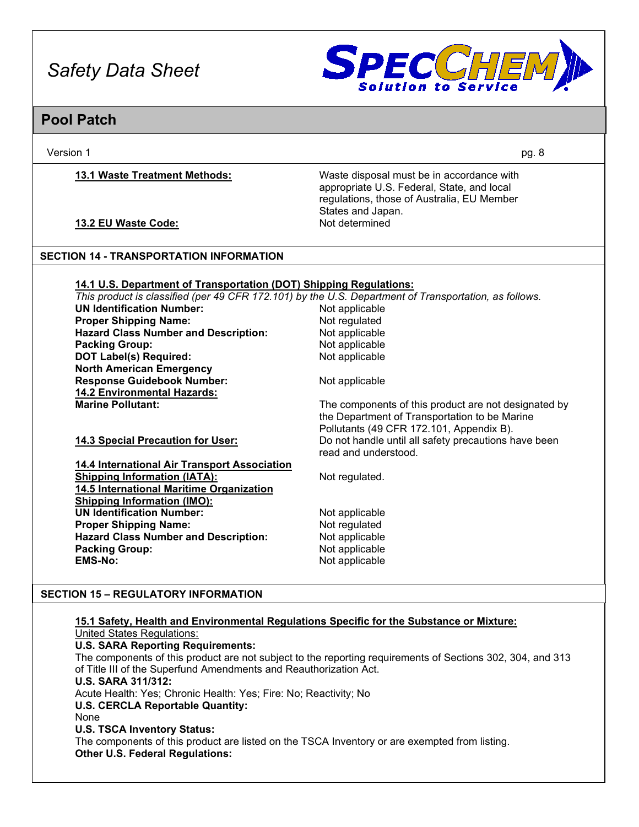

### **Pool Patch**

Version 1 pg. 8

**13.1 Waste Treatment Methods:** Waste disposal must be in accordance with appropriate U.S. Federal, State, and local regulations, those of Australia, EU Member States and Japan.

**13.2 EU Waste Code:** Not determined

#### **SECTION 14 - TRANSPORTATION INFORMATION**

#### **14.1 U.S. Department of Transportation (DOT) Shipping Regulations:**

*This product is classified (per 49 CFR 172.101) by the U.S. Department of Transportation, as follows.* **UN Identification Number:** Not applicable **Proper Shipping Name: Not regulated Hazard Class Number and Description:** Not applicable **Hazard Class Number and Description: Packing Group:** Not applicable **DOT Label(s) Required: North American Emergency Response Guidebook Number:** Not applicable **14.2 Environmental Hazards:** The components of this product are not designated by the Department of Transportation to be Marine Pollutants (49 CFR 172.101, Appendix B). **14.3 Special Precaution for User:** Do not handle until all safety precautions have been read and understood. **14.4 International Air Transport Association Shipping Information (IATA):** Not regulated. **14.5 International Maritime Organization Shipping Information (IMO): UN Identification Number:** Not applicable **Proper Shipping Name:** Not regulated **Hazard Class Number and Description:** Not applicable **Packing Group:** Not applicable **EMS-No:** Not applicable

#### **SECTION 15 – REGULATORY INFORMATION**

#### **15.1 Safety, Health and Environmental Regulations Specific for the Substance or Mixture:**

United States Regulations: **U.S. SARA Reporting Requirements:** The components of this product are not subject to the reporting requirements of Sections 302, 304, and 313 of Title III of the Superfund Amendments and Reauthorization Act. **U.S. SARA 311/312:** Acute Health: Yes; Chronic Health: Yes; Fire: No; Reactivity; No **U.S. CERCLA Reportable Quantity:** None **U.S. TSCA Inventory Status:** The components of this product are listed on the TSCA Inventory or are exempted from listing. **Other U.S. Federal Regulations:**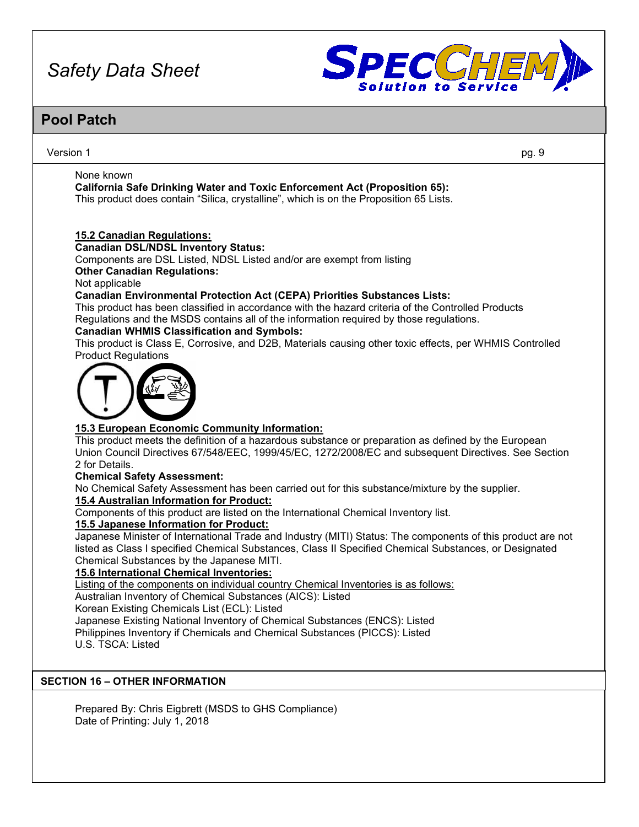

## **Pool Patch**

#### Version 1 pg. 9

None known

**California Safe Drinking Water and Toxic Enforcement Act (Proposition 65):** This product does contain "Silica, crystalline", which is on the Proposition 65 Lists.

#### **15.2 Canadian Regulations:**

**Canadian DSL/NDSL Inventory Status:**

Components are DSL Listed, NDSL Listed and/or are exempt from listing **Other Canadian Regulations:**

Not applicable

#### **Canadian Environmental Protection Act (CEPA) Priorities Substances Lists:**

This product has been classified in accordance with the hazard criteria of the Controlled Products Regulations and the MSDS contains all of the information required by those regulations.

#### **Canadian WHMIS Classification and Symbols:**

This product is Class E, Corrosive, and D2B, Materials causing other toxic effects, per WHMIS Controlled Product Regulations



#### **15.3 European Economic Community Information:**

This product meets the definition of a hazardous substance or preparation as defined by the European Union Council Directives 67/548/EEC, 1999/45/EC, 1272/2008/EC and subsequent Directives. See Section 2 for Details.

#### **Chemical Safety Assessment:**

No Chemical Safety Assessment has been carried out for this substance/mixture by the supplier.

#### **15.4 Australian Information for Product:**

Components of this product are listed on the International Chemical Inventory list.

#### **15.5 Japanese Information for Product:**

Japanese Minister of International Trade and Industry (MITI) Status: The components of this product are not listed as Class I specified Chemical Substances, Class II Specified Chemical Substances, or Designated Chemical Substances by the Japanese MITI.

#### **15.6 International Chemical Inventories:**

Listing of the components on individual country Chemical Inventories is as follows:

Australian Inventory of Chemical Substances (AICS): Listed

Korean Existing Chemicals List (ECL): Listed

Japanese Existing National Inventory of Chemical Substances (ENCS): Listed Philippines Inventory if Chemicals and Chemical Substances (PICCS): Listed U.S. TSCA: Listed

#### **SECTION 16 – OTHER INFORMATION**

Prepared By: Chris Eigbrett (MSDS to GHS Compliance) Date of Printing: July 1, 2018